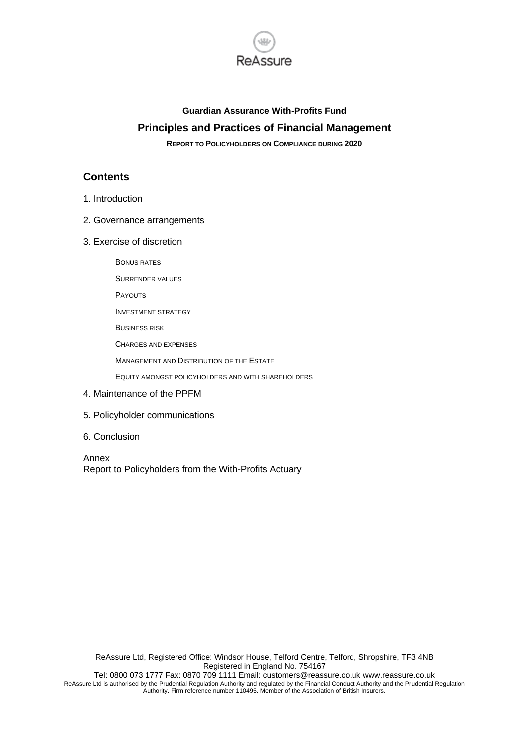

### **Guardian Assurance With-Profits Fund Principles and Practices of Financial Management**

**REPORT TO POLICYHOLDERS ON COMPLIANCE DURING 2020**

### **Contents**

- 1. Introduction
- 2. Governance arrangements
- 3. Exercise of discretion

BONUS RATES

SURRENDER VALUES

**PAYOUTS** 

- INVESTMENT STRATEGY
- BUSINESS RISK

CHARGES AND EXPENSES

MANAGEMENT AND DISTRIBUTION OF THE ESTATE

EQUITY AMONGST POLICYHOLDERS AND WITH SHAREHOLDERS

- 4. Maintenance of the PPFM
- 5. Policyholder communications
- 6. Conclusion

Annex Report to Policyholders from the With-Profits Actuary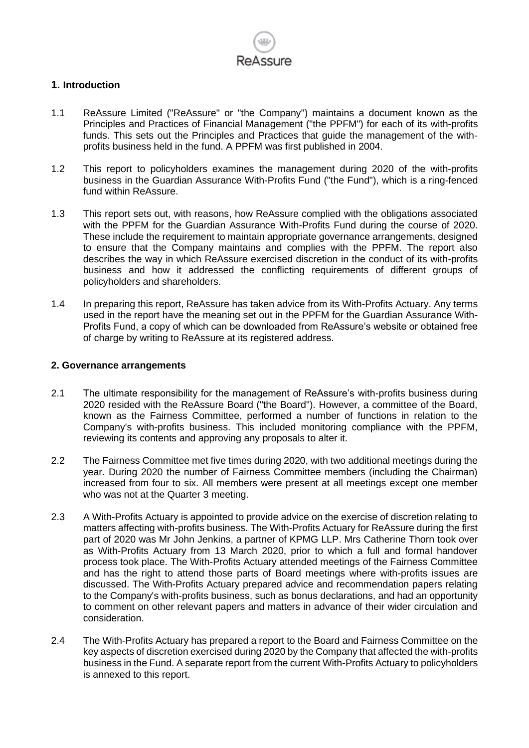

### **1. Introduction**

- 1.1 ReAssure Limited ("ReAssure" or "the Company") maintains a document known as the Principles and Practices of Financial Management ("the PPFM") for each of its with-profits funds. This sets out the Principles and Practices that guide the management of the withprofits business held in the fund. A PPFM was first published in 2004.
- 1.2 This report to policyholders examines the management during 2020 of the with-profits business in the Guardian Assurance With-Profits Fund ("the Fund"), which is a ring-fenced fund within ReAssure.
- 1.3 This report sets out, with reasons, how ReAssure complied with the obligations associated with the PPFM for the Guardian Assurance With-Profits Fund during the course of 2020. These include the requirement to maintain appropriate governance arrangements, designed to ensure that the Company maintains and complies with the PPFM. The report also describes the way in which ReAssure exercised discretion in the conduct of its with-profits business and how it addressed the conflicting requirements of different groups of policyholders and shareholders.
- 1.4 In preparing this report, ReAssure has taken advice from its With-Profits Actuary. Any terms used in the report have the meaning set out in the PPFM for the Guardian Assurance With-Profits Fund, a copy of which can be downloaded from ReAssure's website or obtained free of charge by writing to ReAssure at its registered address.

### **2. Governance arrangements**

- 2.1 The ultimate responsibility for the management of ReAssure's with-profits business during 2020 resided with the ReAssure Board ("the Board"). However, a committee of the Board, known as the Fairness Committee, performed a number of functions in relation to the Company's with-profits business. This included monitoring compliance with the PPFM, reviewing its contents and approving any proposals to alter it.
- 2.2 The Fairness Committee met five times during 2020, with two additional meetings during the year. During 2020 the number of Fairness Committee members (including the Chairman) increased from four to six. All members were present at all meetings except one member who was not at the Quarter 3 meeting.
- 2.3 A With-Profits Actuary is appointed to provide advice on the exercise of discretion relating to matters affecting with-profits business. The With-Profits Actuary for ReAssure during the first part of 2020 was Mr John Jenkins, a partner of KPMG LLP. Mrs Catherine Thorn took over as With-Profits Actuary from 13 March 2020, prior to which a full and formal handover process took place. The With-Profits Actuary attended meetings of the Fairness Committee and has the right to attend those parts of Board meetings where with-profits issues are discussed. The With-Profits Actuary prepared advice and recommendation papers relating to the Company's with-profits business, such as bonus declarations, and had an opportunity to comment on other relevant papers and matters in advance of their wider circulation and consideration.
- 2.4 The With-Profits Actuary has prepared a report to the Board and Fairness Committee on the key aspects of discretion exercised during 2020 by the Company that affected the with-profits business in the Fund. A separate report from the current With-Profits Actuary to policyholders is annexed to this report.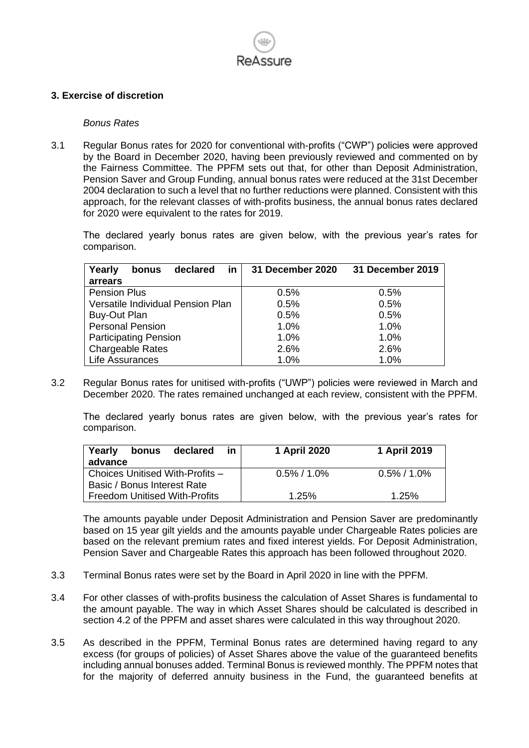

### **3. Exercise of discretion**

#### *Bonus Rates*

3.1 Regular Bonus rates for 2020 for conventional with-profits ("CWP") policies were approved by the Board in December 2020, having been previously reviewed and commented on by the Fairness Committee. The PPFM sets out that, for other than Deposit Administration, Pension Saver and Group Funding, annual bonus rates were reduced at the 31st December 2004 declaration to such a level that no further reductions were planned. Consistent with this approach, for the relevant classes of with-profits business, the annual bonus rates declared for 2020 were equivalent to the rates for 2019.

The declared yearly bonus rates are given below, with the previous year's rates for comparison.

| in<br>declared<br>Yearly<br>bonus | 31 December 2020 | 31 December 2019 |
|-----------------------------------|------------------|------------------|
| arrears                           |                  |                  |
| <b>Pension Plus</b>               | 0.5%             | 0.5%             |
| Versatile Individual Pension Plan | 0.5%             | 0.5%             |
| Buy-Out Plan                      | 0.5%             | 0.5%             |
| <b>Personal Pension</b>           | 1.0%             | 1.0%             |
| <b>Participating Pension</b>      | 1.0%             | 1.0%             |
| <b>Chargeable Rates</b>           | 2.6%             | 2.6%             |
| Life Assurances                   | 1.0%             | 1.0%             |

3.2 Regular Bonus rates for unitised with-profits ("UWP") policies were reviewed in March and December 2020. The rates remained unchanged at each review, consistent with the PPFM.

The declared yearly bonus rates are given below, with the previous year's rates for comparison.

| Yearly<br>declared<br>bonus<br><u>in</u><br>advance | 1 April 2020    | 1 April 2019   |
|-----------------------------------------------------|-----------------|----------------|
| Choices Unitised With-Profits -                     | $0.5\% / 1.0\%$ | $0.5\%$ / 1.0% |
| Basic / Bonus Interest Rate                         |                 |                |
| <b>Freedom Unitised With-Profits</b>                | 1.25%           | 1.25%          |

The amounts payable under Deposit Administration and Pension Saver are predominantly based on 15 year gilt yields and the amounts payable under Chargeable Rates policies are based on the relevant premium rates and fixed interest yields. For Deposit Administration, Pension Saver and Chargeable Rates this approach has been followed throughout 2020.

- 3.3 Terminal Bonus rates were set by the Board in April 2020 in line with the PPFM.
- 3.4 For other classes of with-profits business the calculation of Asset Shares is fundamental to the amount payable. The way in which Asset Shares should be calculated is described in section 4.2 of the PPFM and asset shares were calculated in this way throughout 2020.
- 3.5 As described in the PPFM, Terminal Bonus rates are determined having regard to any excess (for groups of policies) of Asset Shares above the value of the guaranteed benefits including annual bonuses added. Terminal Bonus is reviewed monthly. The PPFM notes that for the majority of deferred annuity business in the Fund, the guaranteed benefits at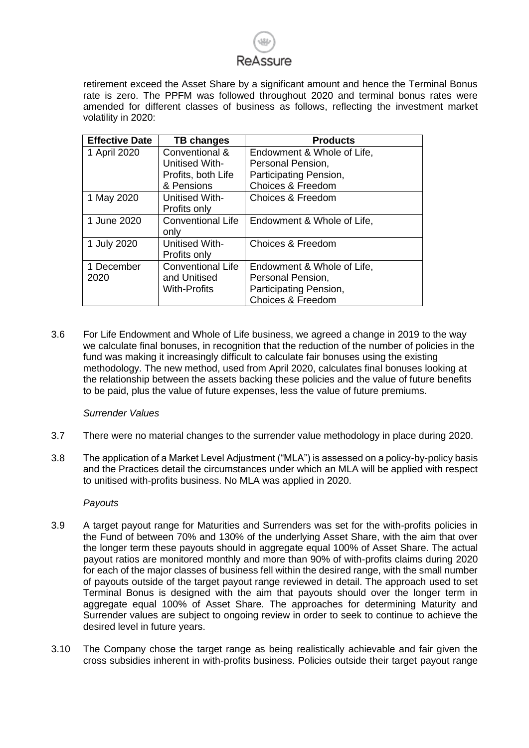retirement exceed the Asset Share by a significant amount and hence the Terminal Bonus rate is zero. The PPFM was followed throughout 2020 and terminal bonus rates were amended for different classes of business as follows, reflecting the investment market volatility in 2020:

| <b>Effective Date</b> | <b>TB changes</b>        | <b>Products</b>              |
|-----------------------|--------------------------|------------------------------|
| 1 April 2020          | Conventional &           | Endowment & Whole of Life,   |
|                       | <b>Unitised With-</b>    | Personal Pension,            |
|                       | Profits, both Life       | Participating Pension,       |
|                       | & Pensions               | <b>Choices &amp; Freedom</b> |
| 1 May 2020            | Unitised With-           | Choices & Freedom            |
|                       | Profits only             |                              |
| 1 June 2020           | <b>Conventional Life</b> | Endowment & Whole of Life,   |
|                       | only                     |                              |
| 1 July 2020           | Unitised With-           | <b>Choices &amp; Freedom</b> |
|                       | Profits only             |                              |
| 1 December            | <b>Conventional Life</b> | Endowment & Whole of Life,   |
| 2020                  | and Unitised             | Personal Pension,            |
|                       | <b>With-Profits</b>      | Participating Pension,       |
|                       |                          | <b>Choices &amp; Freedom</b> |

3.6 For Life Endowment and Whole of Life business, we agreed a change in 2019 to the way we calculate final bonuses, in recognition that the reduction of the number of policies in the fund was making it increasingly difficult to calculate fair bonuses using the existing methodology. The new method, used from April 2020, calculates final bonuses looking at the relationship between the assets backing these policies and the value of future benefits to be paid, plus the value of future expenses, less the value of future premiums.

### *Surrender Values*

- 3.7 There were no material changes to the surrender value methodology in place during 2020.
- 3.8 The application of a Market Level Adjustment ("MLA") is assessed on a policy-by-policy basis and the Practices detail the circumstances under which an MLA will be applied with respect to unitised with-profits business. No MLA was applied in 2020.

### *Payouts*

- 3.9 A target payout range for Maturities and Surrenders was set for the with-profits policies in the Fund of between 70% and 130% of the underlying Asset Share, with the aim that over the longer term these payouts should in aggregate equal 100% of Asset Share. The actual payout ratios are monitored monthly and more than 90% of with-profits claims during 2020 for each of the major classes of business fell within the desired range, with the small number of payouts outside of the target payout range reviewed in detail. The approach used to set Terminal Bonus is designed with the aim that payouts should over the longer term in aggregate equal 100% of Asset Share. The approaches for determining Maturity and Surrender values are subject to ongoing review in order to seek to continue to achieve the desired level in future years.
- 3.10 The Company chose the target range as being realistically achievable and fair given the cross subsidies inherent in with-profits business. Policies outside their target payout range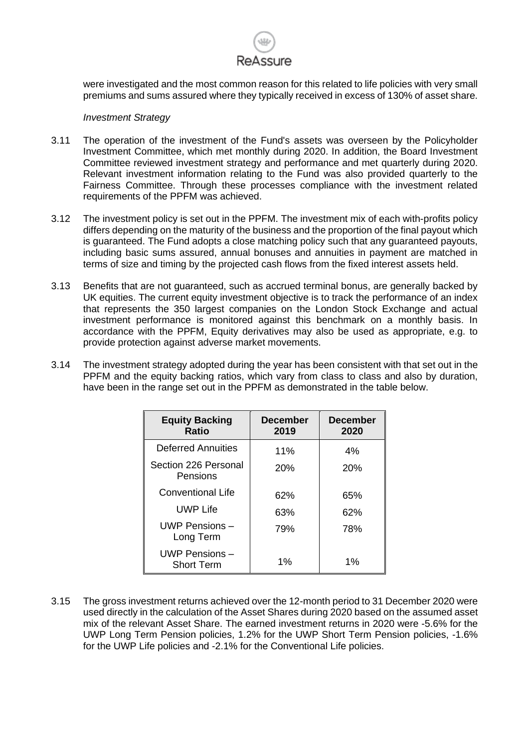

were investigated and the most common reason for this related to life policies with very small premiums and sums assured where they typically received in excess of 130% of asset share.

### *Investment Strategy*

- 3.11 The operation of the investment of the Fund's assets was overseen by the Policyholder Investment Committee, which met monthly during 2020. In addition, the Board Investment Committee reviewed investment strategy and performance and met quarterly during 2020. Relevant investment information relating to the Fund was also provided quarterly to the Fairness Committee. Through these processes compliance with the investment related requirements of the PPFM was achieved.
- 3.12 The investment policy is set out in the PPFM. The investment mix of each with-profits policy differs depending on the maturity of the business and the proportion of the final payout which is guaranteed. The Fund adopts a close matching policy such that any guaranteed payouts, including basic sums assured, annual bonuses and annuities in payment are matched in terms of size and timing by the projected cash flows from the fixed interest assets held.
- 3.13 Benefits that are not guaranteed, such as accrued terminal bonus, are generally backed by UK equities. The current equity investment objective is to track the performance of an index that represents the 350 largest companies on the London Stock Exchange and actual investment performance is monitored against this benchmark on a monthly basis. In accordance with the PPFM, Equity derivatives may also be used as appropriate, e.g. to provide protection against adverse market movements.
- 3.14 The investment strategy adopted during the year has been consistent with that set out in the PPFM and the equity backing ratios, which vary from class to class and also by duration, have been in the range set out in the PPFM as demonstrated in the table below.

| <b>Equity Backing</b><br><b>Ratio</b> | <b>December</b><br>2019 | <b>December</b><br>2020 |
|---------------------------------------|-------------------------|-------------------------|
| Deferred Annuities                    | 11%                     | 4%                      |
| Section 226 Personal<br>Pensions      | 20%                     | 20%                     |
| <b>Conventional Life</b>              | 62%                     | 65%                     |
| <b>UWP Life</b>                       | 63%                     | 62%                     |
| UWP Pensions $-$<br>Long Term         | 79%                     | 78%                     |
| UWP Pensions -<br><b>Short Term</b>   | 1%                      | 1%                      |

3.15 The gross investment returns achieved over the 12-month period to 31 December 2020 were used directly in the calculation of the Asset Shares during 2020 based on the assumed asset mix of the relevant Asset Share. The earned investment returns in 2020 were -5.6% for the UWP Long Term Pension policies, 1.2% for the UWP Short Term Pension policies, -1.6% for the UWP Life policies and -2.1% for the Conventional Life policies.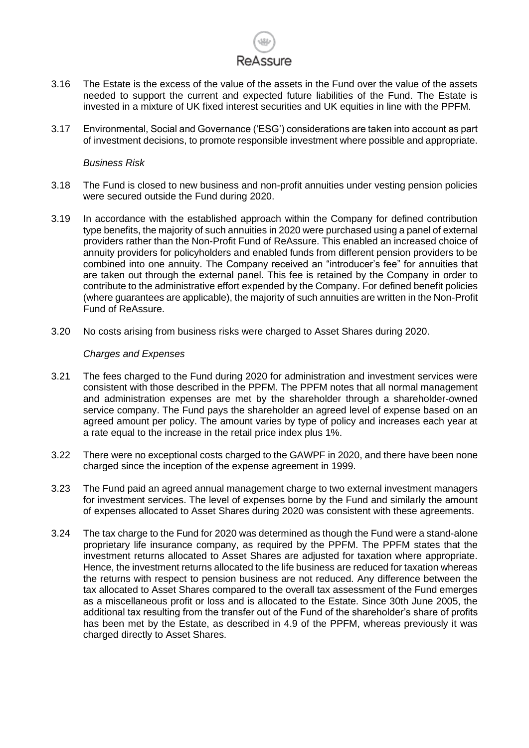## ReAssure

- 3.16 The Estate is the excess of the value of the assets in the Fund over the value of the assets needed to support the current and expected future liabilities of the Fund. The Estate is invested in a mixture of UK fixed interest securities and UK equities in line with the PPFM.
- 3.17 Environmental, Social and Governance ('ESG') considerations are taken into account as part of investment decisions, to promote responsible investment where possible and appropriate.

### *Business Risk*

- 3.18 The Fund is closed to new business and non-profit annuities under vesting pension policies were secured outside the Fund during 2020.
- 3.19 In accordance with the established approach within the Company for defined contribution type benefits, the majority of such annuities in 2020 were purchased using a panel of external providers rather than the Non-Profit Fund of ReAssure. This enabled an increased choice of annuity providers for policyholders and enabled funds from different pension providers to be combined into one annuity. The Company received an "introducer's fee" for annuities that are taken out through the external panel. This fee is retained by the Company in order to contribute to the administrative effort expended by the Company. For defined benefit policies (where guarantees are applicable), the majority of such annuities are written in the Non-Profit Fund of ReAssure.
- 3.20 No costs arising from business risks were charged to Asset Shares during 2020.

### *Charges and Expenses*

- 3.21 The fees charged to the Fund during 2020 for administration and investment services were consistent with those described in the PPFM. The PPFM notes that all normal management and administration expenses are met by the shareholder through a shareholder-owned service company. The Fund pays the shareholder an agreed level of expense based on an agreed amount per policy. The amount varies by type of policy and increases each year at a rate equal to the increase in the retail price index plus 1%.
- 3.22 There were no exceptional costs charged to the GAWPF in 2020, and there have been none charged since the inception of the expense agreement in 1999.
- 3.23 The Fund paid an agreed annual management charge to two external investment managers for investment services. The level of expenses borne by the Fund and similarly the amount of expenses allocated to Asset Shares during 2020 was consistent with these agreements.
- 3.24 The tax charge to the Fund for 2020 was determined as though the Fund were a stand-alone proprietary life insurance company, as required by the PPFM. The PPFM states that the investment returns allocated to Asset Shares are adjusted for taxation where appropriate. Hence, the investment returns allocated to the life business are reduced for taxation whereas the returns with respect to pension business are not reduced. Any difference between the tax allocated to Asset Shares compared to the overall tax assessment of the Fund emerges as a miscellaneous profit or loss and is allocated to the Estate. Since 30th June 2005, the additional tax resulting from the transfer out of the Fund of the shareholder's share of profits has been met by the Estate, as described in 4.9 of the PPFM, whereas previously it was charged directly to Asset Shares.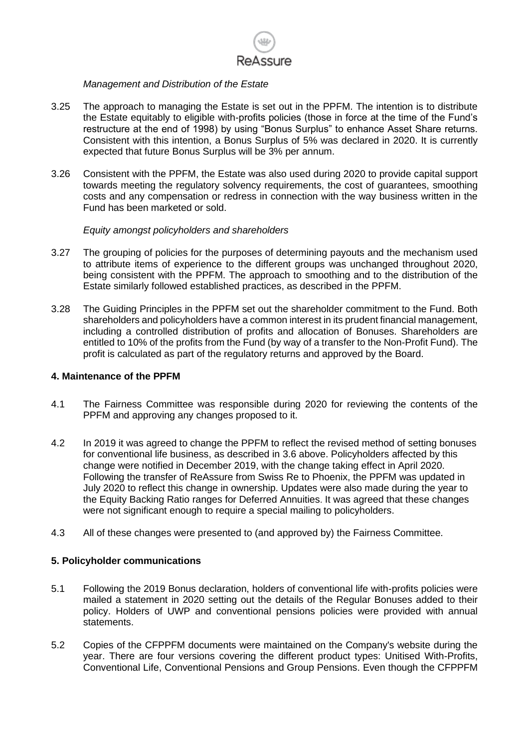# ReAssure

### *Management and Distribution of the Estate*

- 3.25 The approach to managing the Estate is set out in the PPFM. The intention is to distribute the Estate equitably to eligible with-profits policies (those in force at the time of the Fund's restructure at the end of 1998) by using "Bonus Surplus" to enhance Asset Share returns. Consistent with this intention, a Bonus Surplus of 5% was declared in 2020. It is currently expected that future Bonus Surplus will be 3% per annum.
- 3.26 Consistent with the PPFM, the Estate was also used during 2020 to provide capital support towards meeting the regulatory solvency requirements, the cost of guarantees, smoothing costs and any compensation or redress in connection with the way business written in the Fund has been marketed or sold.

### *Equity amongst policyholders and shareholders*

- 3.27 The grouping of policies for the purposes of determining payouts and the mechanism used to attribute items of experience to the different groups was unchanged throughout 2020, being consistent with the PPFM. The approach to smoothing and to the distribution of the Estate similarly followed established practices, as described in the PPFM.
- 3.28 The Guiding Principles in the PPFM set out the shareholder commitment to the Fund. Both shareholders and policyholders have a common interest in its prudent financial management, including a controlled distribution of profits and allocation of Bonuses. Shareholders are entitled to 10% of the profits from the Fund (by way of a transfer to the Non-Profit Fund). The profit is calculated as part of the regulatory returns and approved by the Board.

### **4. Maintenance of the PPFM**

- 4.1 The Fairness Committee was responsible during 2020 for reviewing the contents of the PPFM and approving any changes proposed to it.
- 4.2 In 2019 it was agreed to change the PPFM to reflect the revised method of setting bonuses for conventional life business, as described in 3.6 above. Policyholders affected by this change were notified in December 2019, with the change taking effect in April 2020. Following the transfer of ReAssure from Swiss Re to Phoenix, the PPFM was updated in July 2020 to reflect this change in ownership. Updates were also made during the year to the Equity Backing Ratio ranges for Deferred Annuities. It was agreed that these changes were not significant enough to require a special mailing to policyholders.
- 4.3 All of these changes were presented to (and approved by) the Fairness Committee.

### **5. Policyholder communications**

- 5.1 Following the 2019 Bonus declaration, holders of conventional life with-profits policies were mailed a statement in 2020 setting out the details of the Regular Bonuses added to their policy. Holders of UWP and conventional pensions policies were provided with annual statements.
- 5.2 Copies of the CFPPFM documents were maintained on the Company's website during the year. There are four versions covering the different product types: Unitised With-Profits, Conventional Life, Conventional Pensions and Group Pensions. Even though the CFPPFM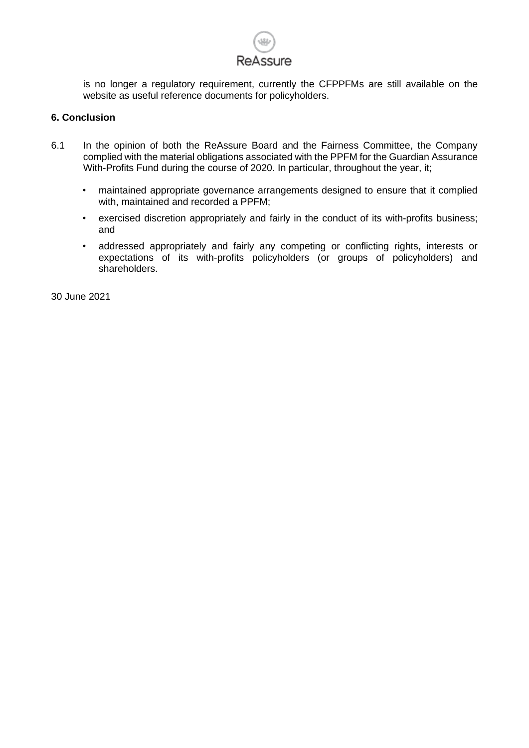

is no longer a regulatory requirement, currently the CFPPFMs are still available on the website as useful reference documents for policyholders.

### **6. Conclusion**

- 6.1 In the opinion of both the ReAssure Board and the Fairness Committee, the Company complied with the material obligations associated with the PPFM for the Guardian Assurance With-Profits Fund during the course of 2020. In particular, throughout the year, it;
	- maintained appropriate governance arrangements designed to ensure that it complied with, maintained and recorded a PPFM;
	- exercised discretion appropriately and fairly in the conduct of its with-profits business; and
	- addressed appropriately and fairly any competing or conflicting rights, interests or expectations of its with-profits policyholders (or groups of policyholders) and shareholders.

30 June 2021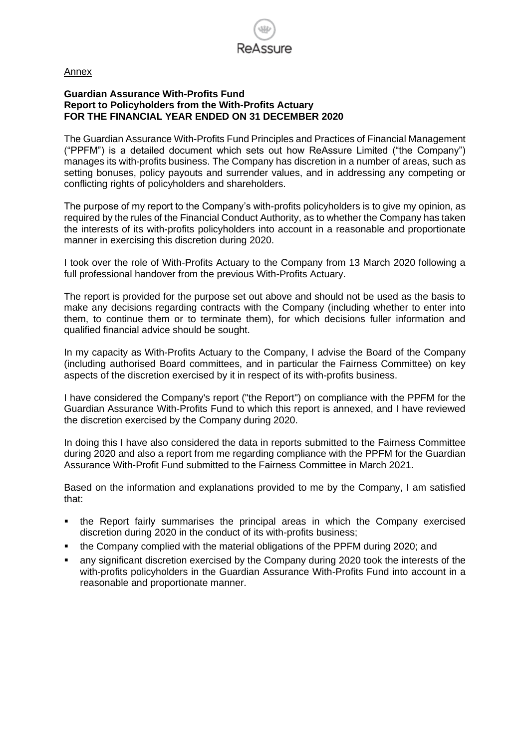

Annex

### **Guardian Assurance With-Profits Fund Report to Policyholders from the With-Profits Actuary FOR THE FINANCIAL YEAR ENDED ON 31 DECEMBER 2020**

The Guardian Assurance With-Profits Fund Principles and Practices of Financial Management ("PPFM") is a detailed document which sets out how ReAssure Limited ("the Company") manages its with-profits business. The Company has discretion in a number of areas, such as setting bonuses, policy payouts and surrender values, and in addressing any competing or conflicting rights of policyholders and shareholders.

The purpose of my report to the Company's with-profits policyholders is to give my opinion, as required by the rules of the Financial Conduct Authority, as to whether the Company has taken the interests of its with-profits policyholders into account in a reasonable and proportionate manner in exercising this discretion during 2020.

I took over the role of With-Profits Actuary to the Company from 13 March 2020 following a full professional handover from the previous With-Profits Actuary.

The report is provided for the purpose set out above and should not be used as the basis to make any decisions regarding contracts with the Company (including whether to enter into them, to continue them or to terminate them), for which decisions fuller information and qualified financial advice should be sought.

In my capacity as With-Profits Actuary to the Company, I advise the Board of the Company (including authorised Board committees, and in particular the Fairness Committee) on key aspects of the discretion exercised by it in respect of its with-profits business.

I have considered the Company's report ("the Report") on compliance with the PPFM for the Guardian Assurance With-Profits Fund to which this report is annexed, and I have reviewed the discretion exercised by the Company during 2020.

In doing this I have also considered the data in reports submitted to the Fairness Committee during 2020 and also a report from me regarding compliance with the PPFM for the Guardian Assurance With-Profit Fund submitted to the Fairness Committee in March 2021.

Based on the information and explanations provided to me by the Company, I am satisfied that:

- the Report fairly summarises the principal areas in which the Company exercised discretion during 2020 in the conduct of its with-profits business;
- the Company complied with the material obligations of the PPFM during 2020; and
- any significant discretion exercised by the Company during 2020 took the interests of the with-profits policyholders in the Guardian Assurance With-Profits Fund into account in a reasonable and proportionate manner.